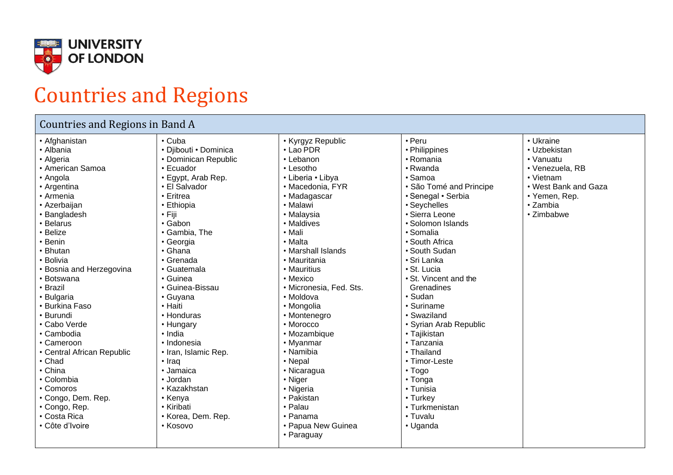

## Countries and Regions

## Countries and Regions in Band A

- Afghanistan
- Albania
- Algeria
- American Samoa
- Angola
- Argentina
- Armenia
- Azerbaijan
- Bangladesh
- Belarus
- Belize
- Benin
- Bhutan
- Bolivia
- Bosnia and Herzegovina
- Botswana
- Brazil
- Bulgaria
- Burkina Faso
- Burundi • Cabo Verde
- 
- Cambodia
- Cameroon
- Central African Republic
- 
- China
- 
- 
- 
- 
- 
- Côte d'Ivoire
- Cuba • Djibouti • Dominica
- Dominican Republic

• Kyrgyz Republic • Lao PDR • Lebanon • Lesotho • Liberia • Libya • Macedonia, FYR • Madagascar • Malawi • Malaysia • Maldives • Mali • Malta

• Peru • Philippines • Romania • Rwanda • Samoa

• Somalia • South Africa • South Sudan • Sri Lanka • St. Lucia

• São Tomé and Principe • Senegal • Serbia • Seychelles • Sierra Leone • Solomon Islands

• Ukraine • Uzbekistan • Vanuatu • Venezuela, RB • Vietnam

• West Bank and Gaza

• Yemen, Rep. • Zambia • Zimbabwe

• St. Vincent and the Grenadines • Sudan • Suriname • Swaziland

• Syrian Arab Republic

• Tajikistan • Tanzania • Thailand • Timor-Leste • Togo • Tonga • Tunisia • Turkey • Turkmenistan • Tuvalu • Uganda

• Marshall Islands • Mauritania • Mauritius • Mexico

• Moldova • Mongolia • Montenegro • Morocco • Mozambique • Myanmar • Namibia • Nepal • Nicaragua • Niger • Nigeria • Pakistan • Palau • Panama

• Micronesia, Fed. Sts.

• Papua New Guinea

• Paraguay

- Ecuador
- Egypt, Arab Rep.
- El Salvador
- Eritrea
- Ethiopia
- Fiji
- Gabon
- Gambia, The
- Georgia
- Ghana
- Grenada
- Guatemala
- Guinea
- Guinea-Bissau

• Korea, Dem. Rep.

- Guyana
- Haiti
- Honduras
- Hungary

• Iraq • Jamaica • Jordan • Kazakhstan • Kenya • Kiribati

• Kosovo

- India • Indonesia
- 
- Iran, Islamic Rep.
- Chad
- 
- 
- Comoros
- Congo, Dem. Rep.
- Congo, Rep.
- Costa Rica
- 
- 
- 
- 
- 
- 
- 
- 
- -
	-
	- Colombia